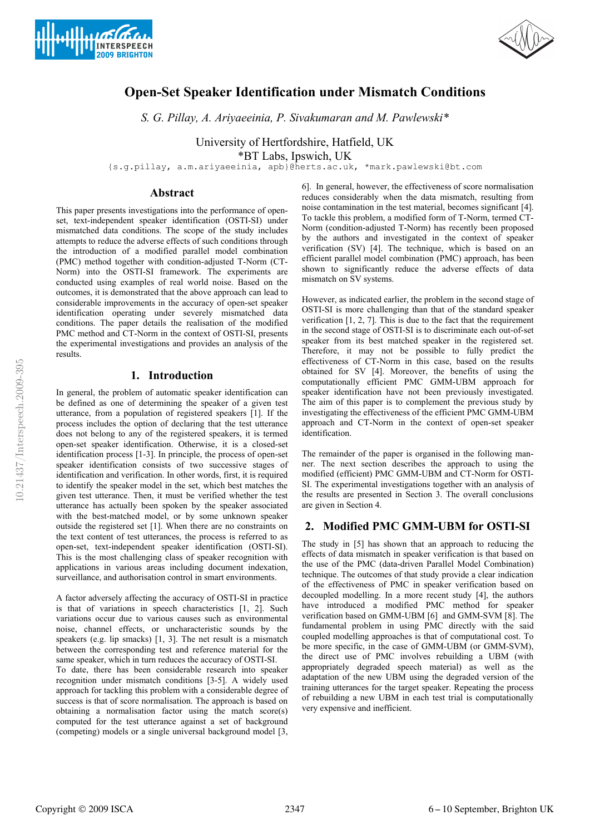



# **Open-Set Speaker Identification under Mismatch Conditions**

*S. G. Pillay, A. Ariyaeeinia, P. Sivakumaran and M. Pawlewski\**

University of Hertfordshire, Hatfield, UK

\*BT Labs, Ipswich, UK

{s.g.pillay, a.m.ariyaeeinia, apb}@herts.ac.uk, \*mark.pawlewski@bt.com

## **Abstract**

This paper presents investigations into the performance of openset, text-independent speaker identification (OSTI-SI) under mismatched data conditions. The scope of the study includes attempts to reduce the adverse effects of such conditions through the introduction of a modified parallel model combination (PMC) method together with condition-adjusted T-Norm (CT-Norm) into the OSTI-SI framework. The experiments are conducted using examples of real world noise. Based on the outcomes, it is demonstrated that the above approach can lead to considerable improvements in the accuracy of open-set speaker identification operating under severely mismatched data conditions. The paper details the realisation of the modified PMC method and CT-Norm in the context of OSTI-SI, presents the experimental investigations and provides an analysis of the results.

## **1. Introduction**

In general, the problem of automatic speaker identification can be defined as one of determining the speaker of a given test utterance, from a population of registered speakers [1]. If the process includes the option of declaring that the test utterance does not belong to any of the registered speakers, it is termed open-set speaker identification. Otherwise, it is a closed-set identification process [1-3]. In principle, the process of open-set speaker identification consists of two successive stages of identification and verification. In other words, first, it is required to identify the speaker model in the set, which best matches the given test utterance. Then, it must be verified whether the test utterance has actually been spoken by the speaker associated with the best-matched model, or by some unknown speaker outside the registered set [1]. When there are no constraints on the text content of test utterances, the process is referred to as open-set, text-independent speaker identification (OSTI-SI). This is the most challenging class of speaker recognition with applications in various areas including document indexation, surveillance, and authorisation control in smart environments.

A factor adversely affecting the accuracy of OSTI-SI in practice is that of variations in speech characteristics [1, 2]. Such variations occur due to various causes such as environmental noise, channel effects, or uncharacteristic sounds by the speakers (e.g. lip smacks) [1, 3]. The net result is a mismatch between the corresponding test and reference material for the same speaker, which in turn reduces the accuracy of OSTI-SI.

To date, there has been considerable research into speaker recognition under mismatch conditions [3-5]. A widely used approach for tackling this problem with a considerable degree of success is that of score normalisation. The approach is based on obtaining a normalisation factor using the match score(s) computed for the test utterance against a set of background (competing) models or a single universal background model [3, 6]. In general, however, the effectiveness of score normalisation reduces considerably when the data mismatch, resulting from noise contamination in the test material, becomes significant [4]. To tackle this problem, a modified form of T-Norm, termed CT-Norm (condition-adjusted T-Norm) has recently been proposed by the authors and investigated in the context of speaker verification (SV) [4]. The technique, which is based on an efficient parallel model combination (PMC) approach, has been shown to significantly reduce the adverse effects of data mismatch on SV systems.

However, as indicated earlier, the problem in the second stage of OSTI-SI is more challenging than that of the standard speaker verification [1, 2, 7]. This is due to the fact that the requirement in the second stage of OSTI-SI is to discriminate each out-of-set speaker from its best matched speaker in the registered set. Therefore, it may not be possible to fully predict the effectiveness of CT-Norm in this case, based on the results obtained for SV [4]. Moreover, the benefits of using the computationally efficient PMC GMM-UBM approach for speaker identification have not been previously investigated. The aim of this paper is to complement the previous study by investigating the effectiveness of the efficient PMC GMM-UBM approach and CT-Norm in the context of open-set speaker identification.

The remainder of the paper is organised in the following manner. The next section describes the approach to using the modified (efficient) PMC GMM-UBM and CT-Norm for OSTI-SI. The experimental investigations together with an analysis of the results are presented in Section 3. The overall conclusions are given in Section 4.

# **2. Modified PMC GMM-UBM for OSTI-SI**

The study in [5] has shown that an approach to reducing the effects of data mismatch in speaker verification is that based on the use of the PMC (data-driven Parallel Model Combination) technique. The outcomes of that study provide a clear indication of the effectiveness of PMC in speaker verification based on decoupled modelling. In a more recent study [4], the authors have introduced a modified PMC method for speaker verification based on GMM-UBM [6] and GMM-SVM [8]. The fundamental problem in using PMC directly with the said coupled modelling approaches is that of computational cost. To be more specific, in the case of GMM-UBM (or GMM-SVM), the direct use of PMC involves rebuilding a UBM (with appropriately degraded speech material) as well as the adaptation of the new UBM using the degraded version of the training utterances for the target speaker. Repeating the process of rebuilding a new UBM in each test trial is computationally very expensive and inefficient.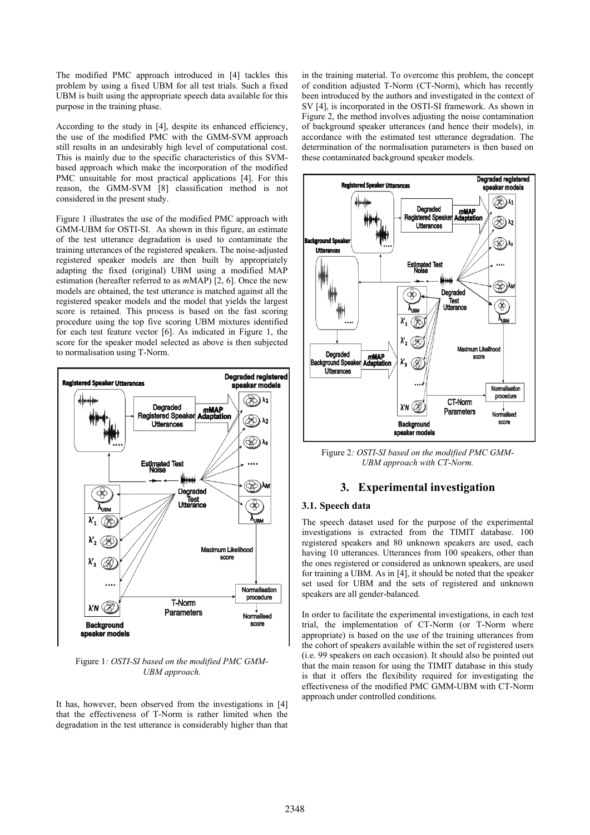The modified PMC approach introduced in [4] tackles this problem by using a fixed UBM for all test trials. Such a fixed UBM is built using the appropriate speech data available for this purpose in the training phase.

According to the study in [4], despite its enhanced efficiency, the use of the modified PMC with the GMM-SVM approach still results in an undesirably high level of computational cost. This is mainly due to the specific characteristics of this SVMbased approach which make the incorporation of the modified PMC unsuitable for most practical applications [4]. For this reason, the GMM-SVM [8] classification method is not considered in the present study.

Figure 1 illustrates the use of the modified PMC approach with GMM-UBM for OSTI-SI. As shown in this figure, an estimate of the test utterance degradation is used to contaminate the training utterances of the registered speakers. The noise-adjusted registered speaker models are then built by appropriately adapting the fixed (original) UBM using a modified MAP estimation (hereafter referred to as *m*MAP) [2, 6]. Once the new models are obtained, the test utterance is matched against all the registered speaker models and the model that yields the largest score is retained. This process is based on the fast scoring procedure using the top five scoring UBM mixtures identified for each test feature vector [6]. As indicated in Figure 1, the score for the speaker model selected as above is then subjected to normalisation using T-Norm.



Figure 1*: OSTI-SI based on the modified PMC GMM-UBM approach.*

It has, however, been observed from the investigations in [4] that the effectiveness of T-Norm is rather limited when the degradation in the test utterance is considerably higher than that

in the training material. To overcome this problem, the concept of condition adjusted T-Norm (CT-Norm), which has recently been introduced by the authors and investigated in the context of SV [4], is incorporated in the OSTI-SI framework. As shown in Figure 2, the method involves adjusting the noise contamination of background speaker utterances (and hence their models), in accordance with the estimated test utterance degradation. The determination of the normalisation parameters is then based on these contaminated background speaker models.



Figure 2*: OSTI-SI based on the modified PMC GMM-UBM approach with CT-Norm.*

### **3. Experimental investigation**

#### **3.1. Speech data**

The speech dataset used for the purpose of the experimental investigations is extracted from the TIMIT database. 100 registered speakers and 80 unknown speakers are used, each having 10 utterances. Utterances from 100 speakers, other than the ones registered or considered as unknown speakers, are used for training a UBM. As in [4], it should be noted that the speaker set used for UBM and the sets of registered and unknown speakers are all gender-balanced.

In order to facilitate the experimental investigations, in each test trial, the implementation of CT-Norm (or T-Norm where appropriate) is based on the use of the training utterances from the cohort of speakers available within the set of registered users (i.e. 99 speakers on each occasion). It should also be pointed out that the main reason for using the TIMIT database in this study is that it offers the flexibility required for investigating the effectiveness of the modified PMC GMM-UBM with CT-Norm approach under controlled conditions.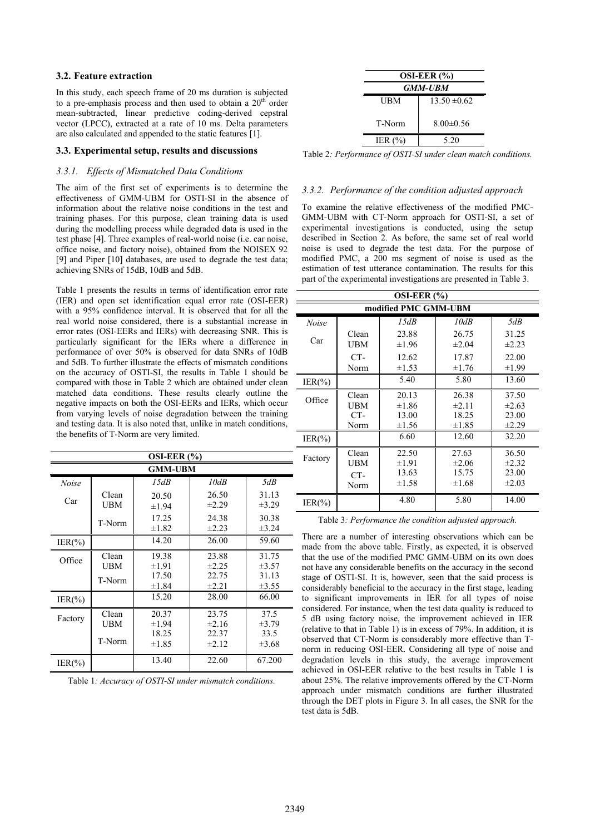#### **3.2. Feature extraction**

In this study, each speech frame of 20 ms duration is subjected to a pre-emphasis process and then used to obtain a  $20<sup>th</sup>$  order mean-subtracted, linear predictive coding-derived cepstral vector (LPCC), extracted at a rate of 10 ms. Delta parameters are also calculated and appended to the static features [1].

#### **3.3. Experimental setup, results and discussions**

#### *3.3.1. Effects of Mismatched Data Conditions*

The aim of the first set of experiments is to determine the effectiveness of GMM-UBM for OSTI-SI in the absence of information about the relative noise conditions in the test and training phases. For this purpose, clean training data is used during the modelling process while degraded data is used in the test phase [4]. Three examples of real-world noise (i.e. car noise, office noise, and factory noise), obtained from the NOISEX 92 [9] and Piper [10] databases, are used to degrade the test data; achieving SNRs of 15dB, 10dB and 5dB.

Table 1 presents the results in terms of identification error rate (IER) and open set identification equal error rate (OSI-EER) with a 95% confidence interval. It is observed that for all the real world noise considered, there is a substantial increase in error rates (OSI-EERs and IERs) with decreasing SNR. This is particularly significant for the IERs where a difference in performance of over 50% is observed for data SNRs of 10dB and 5dB. To further illustrate the effects of mismatch conditions on the accuracy of OSTI-SI, the results in Table 1 should be compared with those in Table 2 which are obtained under clean matched data conditions. These results clearly outline the negative impacts on both the OSI-EERs and IERs, which occur from varying levels of noise degradation between the training and testing data. It is also noted that, unlike in match conditions, the benefits of T-Norm are very limited.

| OSI-EER $(%)$  |                               |                                            |                                            |                                          |  |  |  |
|----------------|-------------------------------|--------------------------------------------|--------------------------------------------|------------------------------------------|--|--|--|
| <b>GMM-UBM</b> |                               |                                            |                                            |                                          |  |  |  |
| <b>Noise</b>   |                               | 15dB                                       | 10dB                                       | 5dB                                      |  |  |  |
| Car            | Clean<br>UBM                  | 20.50<br>$\pm 1.94$                        | 26.50<br>$\pm 2.29$                        | 31.13<br>$\pm 3.29$                      |  |  |  |
|                | T-Norm                        | 17.25<br>$\pm 1.82$                        | 24.38<br>$\pm 2.23$                        | 30.38<br>$\pm 3.24$                      |  |  |  |
| $IER(\% )$     |                               | 14.20                                      | 26.00                                      | 59.60                                    |  |  |  |
| Office         | Clean<br>UBM<br>T-Norm        | 19.38<br>$\pm 1.91$<br>17.50               | 23.88<br>±2.25<br>22.75                    | 31.75<br>$\pm 3.57$<br>31.13             |  |  |  |
| $IER(\% )$     |                               | $\pm 1.84$<br>15.20                        | ±2.21<br>28.00                             | $\pm 3.55$<br>66.00                      |  |  |  |
| Factory        | Clean<br><b>UBM</b><br>T-Norm | 20.37<br>$\pm 1.94$<br>18.25<br>$\pm 1.85$ | 23.75<br>$\pm 2.16$<br>22.37<br>$\pm 2.12$ | 37.5<br>$\pm 3.79$<br>33.5<br>$\pm 3.68$ |  |  |  |
| $IER(\% )$     |                               | 13.40                                      | 22.60                                      | 67.200                                   |  |  |  |

Table 1*: Accuracy of OSTI-SI under mismatch conditions.*

|            | OSI-EER $(%)$<br><b>GMM-UBM</b> |  |  |  |  |  |
|------------|---------------------------------|--|--|--|--|--|
| UBM        | $13.50 \pm 0.62$                |  |  |  |  |  |
| T-Norm     | $8.00 \pm 0.56$                 |  |  |  |  |  |
| IER $(% )$ | 5.20                            |  |  |  |  |  |

Table 2*: Performance of OSTI-SI under clean match conditions.*

#### *3.3.2. Performance of the condition adjusted approach*

To examine the relative effectiveness of the modified PMC-GMM-UBM with CT-Norm approach for OSTI-SI, a set of experimental investigations is conducted, using the setup described in Section 2. As before, the same set of real world noise is used to degrade the test data. For the purpose of modified PMC, a 200 ms segment of noise is used as the estimation of test utterance contamination. The results for this part of the experimental investigations are presented in Table 3.

| OSI-EER $(%)$        |                             |                                            |                                            |                                            |  |  |
|----------------------|-----------------------------|--------------------------------------------|--------------------------------------------|--------------------------------------------|--|--|
| modified PMC GMM-UBM |                             |                                            |                                            |                                            |  |  |
| Noise                |                             | 15dB                                       | 10dB                                       | 5dB                                        |  |  |
| Car                  | Clean<br>UBM                | 23.88<br>$\pm 1.96$                        | 26.75<br>$\pm 2.04$                        | 31.25<br>±2.23                             |  |  |
|                      | CT-<br>Norm                 | 12.62<br>$\pm 1.53$                        | 17.87<br>$\pm 1.76$                        | 22.00<br>$\pm 1.99$                        |  |  |
| $IER(\% )$           |                             | 5.40                                       | 5.80                                       | 13.60                                      |  |  |
| Office               | Clean<br>UBM<br>CT-<br>Norm | 20.13<br>$\pm 1.86$<br>13.00<br>$\pm 1.56$ | 26.38<br>$\pm 2.11$<br>18.25<br>$\pm 1.85$ | 37.50<br>$\pm 2.63$<br>23.00<br>±2.29      |  |  |
| $IER(\% )$           |                             | 6.60                                       | 12.60                                      | 32.20                                      |  |  |
| Factory              | Clean<br>UBM<br>CT-<br>Norm | 22.50<br>$\pm 1.91$<br>13.63<br>$\pm 1.58$ | 27.63<br>$\pm 2.06$<br>15.75<br>$\pm 1.68$ | 36.50<br>$\pm 2.32$<br>23.00<br>$\pm 2.03$ |  |  |
| $IER(\% )$           |                             | 4.80                                       | 5.80                                       | 14.00                                      |  |  |

Table 3*: Performance the condition adjusted approach.*

There are a number of interesting observations which can be made from the above table. Firstly, as expected, it is observed that the use of the modified PMC GMM-UBM on its own does not have any considerable benefits on the accuracy in the second stage of OSTI-SI. It is, however, seen that the said process is considerably beneficial to the accuracy in the first stage, leading to significant improvements in IER for all types of noise considered. For instance, when the test data quality is reduced to 5 dB using factory noise, the improvement achieved in IER (relative to that in Table 1) is in excess of 79%. In addition, it is observed that CT-Norm is considerably more effective than Tnorm in reducing OSI-EER. Considering all type of noise and degradation levels in this study, the average improvement achieved in OSI-EER relative to the best results in Table 1 is about 25%. The relative improvements offered by the CT-Norm approach under mismatch conditions are further illustrated through the DET plots in Figure 3. In all cases, the SNR for the test data is 5dB.